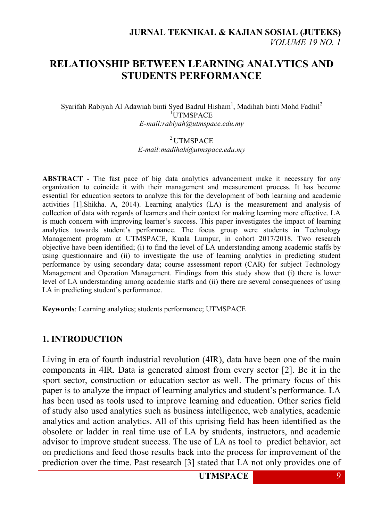# **RELATIONSHIP BETWEEN LEARNING ANALYTICS AND STUDENTS PERFORMANCE**

Syarifah Rabiyah Al Adawiah binti Syed Badrul Hisham<sup>1</sup>, Madihah binti Mohd Fadhil<sup>2</sup> <sup>1</sup>IJTMSPACE *E-mail:rabiyah@utmspace.edu.my*

#### $2$ UTMSPACE *E-mail:madihah@utmspace.edu.my*

**ABSTRACT** - The fast pace of big data analytics advancement make it necessary for any organization to coincide it with their management and measurement process. It has become essential for education sectors to analyze this for the development of both learning and academic activities [1].Shikha. A, 2014). Learning analytics (LA) is the measurement and analysis of collection of data with regards of learners and their context for making learning more effective. LA is much concern with improving learner's success. This paper investigates the impact of learning analytics towards student"s performance. The focus group were students in Technology Management program at UTMSPACE, Kuala Lumpur, in cohort 2017/2018. Two research objective have been identified; (i) to find the level of LA understanding among academic staffs by using questionnaire and (ii) to investigate the use of learning analytics in predicting student performance by using secondary data; course assessment report (CAR) for subject Technology Management and Operation Management. Findings from this study show that (i) there is lower level of LA understanding among academic staffs and (ii) there are several consequences of using LA in predicting student's performance.

**Keywords**: Learning analytics; students performance; UTMSPACE

#### **1. INTRODUCTION**

Living in era of fourth industrial revolution (4IR), data have been one of the main components in 4IR. Data is generated almost from every sector [2]. Be it in the sport sector, construction or education sector as well. The primary focus of this paper is to analyze the impact of learning analytics and student"s performance. LA has been used as tools used to improve learning and education. Other series field of study also used analytics such as business intelligence, web analytics, academic analytics and action analytics. All of this uprising field has been identified as the obsolete or ladder in real time use of LA by students, instructors, and academic advisor to improve student success. The use of LA as tool to predict behavior, act on predictions and feed those results back into the process for improvement of the prediction over the time. Past research [3] stated that LA not only provides one of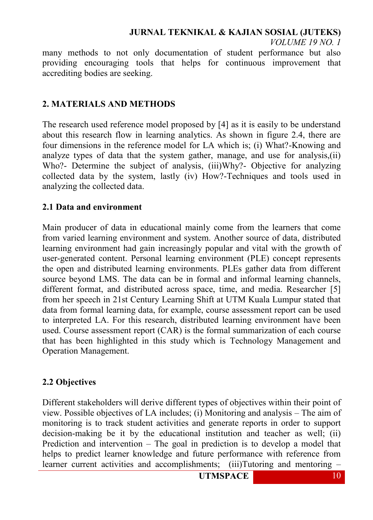**JURNAL TEKNIKAL & KAJIAN SOSIAL (JUTEKS)**

*VOLUME 19 NO. 1*

many methods to not only documentation of student performance but also providing encouraging tools that helps for continuous improvement that accrediting bodies are seeking.

### **2. MATERIALS AND METHODS**

The research used reference model proposed by [4] as it is easily to be understand about this research flow in learning analytics. As shown in figure 2.4, there are four dimensions in the reference model for LA which is; (i) What?-Knowing and analyze types of data that the system gather, manage, and use for analysis,(ii) Who?- Determine the subject of analysis, (iii)Why?- Objective for analyzing collected data by the system, lastly (iv) How?-Techniques and tools used in analyzing the collected data.

#### **2.1 Data and environment**

Main producer of data in educational mainly come from the learners that come from varied learning environment and system. Another source of data, distributed learning environment had gain increasingly popular and vital with the growth of user-generated content. Personal learning environment (PLE) concept represents the open and distributed learning environments. PLEs gather data from different source beyond LMS. The data can be in formal and informal learning channels, different format, and distributed across space, time, and media. Researcher [5] from her speech in 21st Century Learning Shift at UTM Kuala Lumpur stated that data from formal learning data, for example, course assessment report can be used to interpreted LA. For this research, distributed learning environment have been used. Course assessment report (CAR) is the formal summarization of each course that has been highlighted in this study which is Technology Management and Operation Management.

#### **2.2 Objectives**

Different stakeholders will derive different types of objectives within their point of view. Possible objectives of LA includes; (i) Monitoring and analysis – The aim of monitoring is to track student activities and generate reports in order to support decision-making be it by the educational institution and teacher as well; (ii) Prediction and intervention – The goal in prediction is to develop a model that helps to predict learner knowledge and future performance with reference from learner current activities and accomplishments; (iii)Tutoring and mentoring –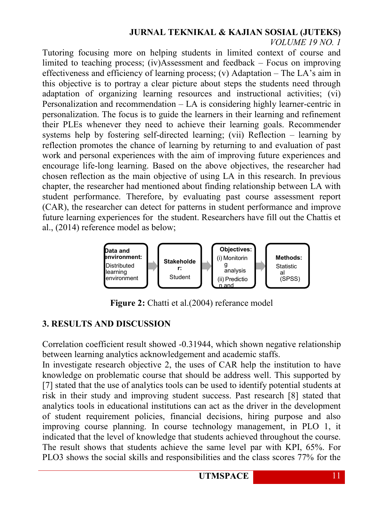## **JURNAL TEKNIKAL & KAJIAN SOSIAL (JUTEKS)**

*VOLUME 19 NO. 1*

Tutoring focusing more on helping students in limited context of course and limited to teaching process; (iv)Assessment and feedback – Focus on improving effectiveness and efficiency of learning process; (v) Adaptation – The LA"s aim in this objective is to portray a clear picture about steps the students need through adaptation of organizing learning resources and instructional activities; (vi) Personalization and recommendation – LA is considering highly learner-centric in personalization. The focus is to guide the learners in their learning and refinement their PLEs whenever they need to achieve their learning goals. Recommender systems help by fostering self-directed learning; (vii) Reflection – learning by reflection promotes the chance of learning by returning to and evaluation of past work and personal experiences with the aim of improving future experiences and encourage life-long learning. Based on the above objectives, the researcher had chosen reflection as the main objective of using LA in this research. In previous chapter, the researcher had mentioned about finding relationship between LA with student performance. Therefore, by evaluating past course assessment report (CAR), the researcher can detect for patterns in student performance and improve future learning experiences for the student. Researchers have fill out the Chattis et al., (2014) reference model as below;



**Figure 2:** Chatti et al. (2004) referance model

## **3. RESULTS AND DISCUSSION**

Correlation coefficient result showed -0.31944, which shown negative relationship between learning analytics acknowledgement and academic staffs.

In investigate research objective 2, the uses of CAR help the institution to have knowledge on problematic course that should be address well. This supported by [7] stated that the use of analytics tools can be used to identify potential students at risk in their study and improving student success. Past research [8] stated that analytics tools in educational institutions can act as the driver in the development of student requirement policies, financial decisions, hiring purpose and also improving course planning. In course technology management, in PLO 1, it indicated that the level of knowledge that students achieved throughout the course. The result shows that students achieve the same level par with KPI, 65%. For PLO3 shows the social skills and responsibilities and the class scores 77% for the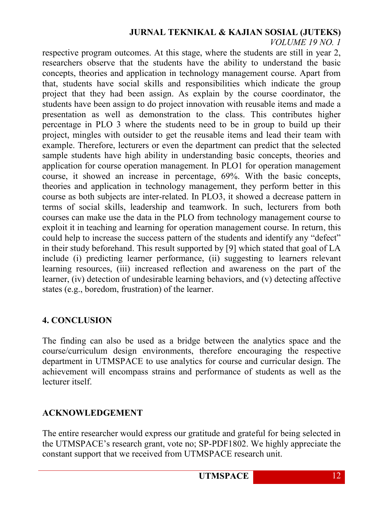### **JURNAL TEKNIKAL & KAJIAN SOSIAL (JUTEKS)**

*VOLUME 19 NO. 1*

respective program outcomes. At this stage, where the students are still in year 2, researchers observe that the students have the ability to understand the basic concepts, theories and application in technology management course. Apart from that, students have social skills and responsibilities which indicate the group project that they had been assign. As explain by the course coordinator, the students have been assign to do project innovation with reusable items and made a presentation as well as demonstration to the class. This contributes higher percentage in PLO 3 where the students need to be in group to build up their project, mingles with outsider to get the reusable items and lead their team with example. Therefore, lecturers or even the department can predict that the selected sample students have high ability in understanding basic concepts, theories and application for course operation management. In PLO1 for operation management course, it showed an increase in percentage, 69%. With the basic concepts, theories and application in technology management, they perform better in this course as both subjects are inter-related. In PLO3, it showed a decrease pattern in terms of social skills, leadership and teamwork. In such, lecturers from both courses can make use the data in the PLO from technology management course to exploit it in teaching and learning for operation management course. In return, this could help to increase the success pattern of the students and identify any "defect" in their study beforehand. This result supported by [9] which stated that goal of LA include (i) predicting learner performance, (ii) suggesting to learners relevant learning resources, (iii) increased reflection and awareness on the part of the learner, (iv) detection of undesirable learning behaviors, and (v) detecting affective states (e.g., boredom, frustration) of the learner.

## **4. CONCLUSION**

The finding can also be used as a bridge between the analytics space and the course/curriculum design environments, therefore encouraging the respective department in UTMSPACE to use analytics for course and curricular design. The achievement will encompass strains and performance of students as well as the lecturer itself.

### **ACKNOWLEDGEMENT**

The entire researcher would express our gratitude and grateful for being selected in the UTMSPACE"s research grant, vote no; SP-PDF1802. We highly appreciate the constant support that we received from UTMSPACE research unit.